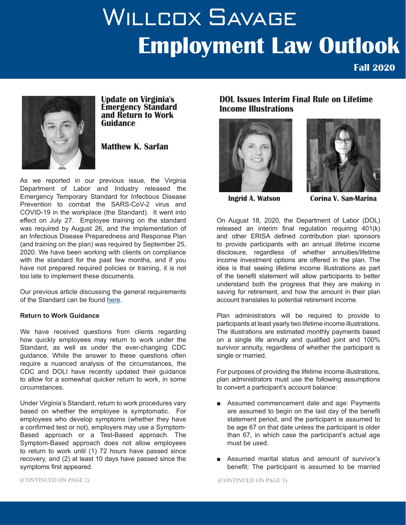# WILLCOX SAVAGE **Employment Law Outlook**

**Fall 2020**



**Update on Virginia's Emergency Standard and Return to Work Guidance**

# **Matthew K. Sarfan**

As we reported in our previous issue, the Virginia Department of Labor and Industry released the Emergency Temporary Standard for Infectious Disease Prevention to combat the SARS-CoV-2 virus and COVID-19 in the workplace (the Standard). It went into effect on July 27. Employee training on the standard was required by August 26, and the implementation of an Infectious Disease Preparedness and Response Plan (and training on the plan) was required by September 25, 2020. We have been working with clients on compliance with the standard for the past few months, and if you have not prepared required policies or training, it is not too late to implement these documents.

Our previous article discussing the general requirements of the Standard can be found here.

### **Return to Work Guidance**

We have received questions from clients regarding how quickly employees may return to work under the Standard, as well as under the ever-changing CDC guidance. While the answer to these questions often require a nuanced analysis of the circumstances, the CDC and DOLI have recently updated their guidance to allow for a somewhat quicker return to work, in some circumstances.

Under Virginia's Standard, return to work procedures vary based on whether the employee is symptomatic. For employees who develop symptoms (whether they have a confirmed test or not), employers may use a Symptom-Based approach or a Test-Based approach. The Symptom-Based approach does not allow employees to return to work until (1) 72 hours have passed since recovery, and (2) at least 10 days have passed since the symptoms first appeared.

**DOL Issues Interim Final Rule on Lifetime Income Illustrations**





 **Ingrid A. Watson Corina V. San-Marina** 

On August 18, 2020, the Department of Labor (DOL) released an interim final regulation requiring 401(k) and other ERISA defined contribution plan sponsors to provide participants with an annual lifetime income disclosure, regardless of whether annuities/lifetime income investment options are offered in the plan. The idea is that seeing lifetime income illustrations as part of the benefit statement will allow participants to better understand both the progress that they are making in saving for retirement, and how the amount in their plan account translates to potential retirement income.

Plan administrators will be required to provide to participants at least yearly two lifetime income illustrations. The illustrations are estimated monthly payments based on a single life annuity and qualified joint and 100% survivor annuity, regardless of whether the participant is single or married.

For purposes of providing the lifetime income illustrations, plan administrators must use the following assumptions to convert a participant's account balance:

- Assumed commencement date and age: Payments are assumed to begin on the last day of the benefit statement period, and the participant is assumed to be age 67 on that date unless the participant is older than 67, in which case the participant's actual age must be used.
- Assumed marital status and amount of survivor's benefit: The participant is assumed to be married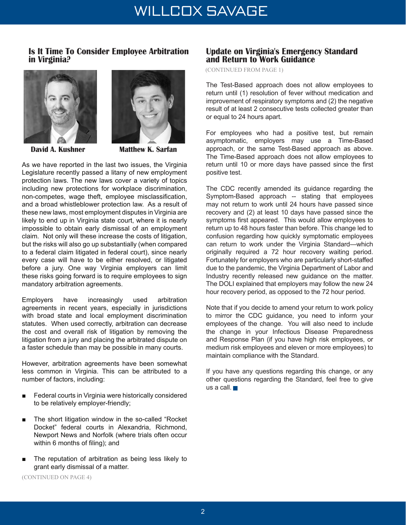# **Is It Time To Consider Employee Arbitration in Virginia?**





**David A. Kushner Matthew K. Sarfan** 

As we have reported in the last two issues, the Virginia Legislature recently passed a litany of new employment protection laws. The new laws cover a variety of topics including new protections for workplace discrimination, non-competes, wage theft, employee misclassification, and a broad whistleblower protection law. As a result of these new laws, most employment disputes in Virginia are likely to end up in Virginia state court, where it is nearly impossible to obtain early dismissal of an employment claim. Not only will these increase the costs of litigation, but the risks will also go up substantially (when compared to a federal claim litigated in federal court), since nearly every case will have to be either resolved, or litigated before a jury. One way Virginia employers can limit these risks going forward is to require employees to sign mandatory arbitration agreements.

Employers have increasingly used arbitration agreements in recent years, especially in jurisdictions with broad state and local employment discrimination statutes. When used correctly, arbitration can decrease the cost and overall risk of litigation by removing the litigation from a jury and placing the arbitrated dispute on a faster schedule than may be possible in many courts.

However, arbitration agreements have been somewhat less common in Virginia. This can be attributed to a number of factors, including:

- Federal courts in Virginia were historically considered to be relatively employer-friendly;
- The short litigation window in the so-called "Rocket" Docket" federal courts in Alexandria, Richmond, Newport News and Norfolk (where trials often occur within 6 months of filing); and
- The reputation of arbitration as being less likely to grant early dismissal of a matter.

(CONTINUED ON PAGE 4)

## **Update on Virginia's Emergency Standard and Return to Work Guidance**

(CONTINUED FROM PAGE 1)

The Test-Based approach does not allow employees to return until (1) resolution of fever without medication and improvement of respiratory symptoms and (2) the negative result of at least 2 consecutive tests collected greater than or equal to 24 hours apart.

For employees who had a positive test, but remain asymptomatic, employers may use a Time-Based approach, or the same Test-Based approach as above. The Time-Based approach does not allow employees to return until 10 or more days have passed since the first positive test.

The CDC recently amended its guidance regarding the Symptom-Based approach -- stating that employees may not return to work until 24 hours have passed since recovery and (2) at least 10 days have passed since the symptoms first appeared. This would allow employees to return up to 48 hours faster than before. This change led to confusion regarding how quickly symptomatic employees can return to work under the Virginia Standard—which originally required a 72 hour recovery waiting period. Fortunately for employers who are particularly short-staffed due to the pandemic, the Virginia Department of Labor and Industry recently released new guidance on the matter. The DOLI explained that employers may follow the new 24 hour recovery period, as opposed to the 72 hour period.

Note that if you decide to amend your return to work policy to mirror the CDC guidance, you need to inform your employees of the change. You will also need to include the change in your Infectious Disease Preparedness and Response Plan (if you have high risk employees, or medium risk employees and eleven or more employees) to maintain compliance with the Standard.

If you have any questions regarding this change, or any other questions regarding the Standard, feel free to give us a call.  $\blacksquare$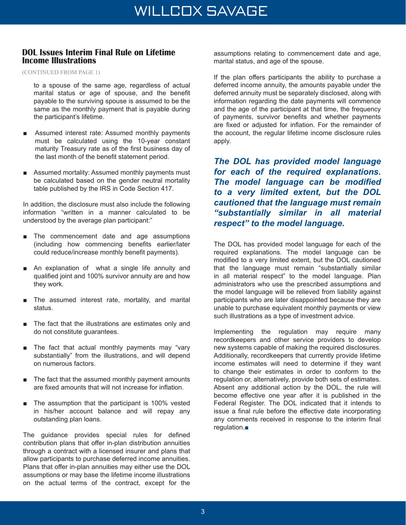## **DOL Issues Interim Final Rule on Lifetime Income Illustrations**

(CONTINUED FROM PAGE 1)

to a spouse of the same age, regardless of actual marital status or age of spouse, and the benefit payable to the surviving spouse is assumed to be the same as the monthly payment that is payable during the participant's lifetime.

- Assumed interest rate: Assumed monthly payments must be calculated using the 10-year constant maturity Treasury rate as of the first business day of the last month of the benefit statement period.
- Assumed mortality: Assumed monthly payments must be calculated based on the gender neutral mortality table published by the IRS in Code Section 417.

In addition, the disclosure must also include the following information "written in a manner calculated to be understood by the average plan participant:"

- The commencement date and age assumptions (including how commencing benefits earlier/later could reduce/increase monthly benefit payments).
- An explanation of what a single life annuity and qualified joint and 100% survivor annuity are and how they work.
- The assumed interest rate, mortality, and marital status.
- The fact that the illustrations are estimates only and do not constitute guarantees.
- The fact that actual monthly payments may "vary substantially" from the illustrations, and will depend on numerous factors.
- The fact that the assumed monthly payment amounts are fixed amounts that will not increase for inflation.
- The assumption that the participant is 100% vested in his/her account balance and will repay any outstanding plan loans.

The guidance provides special rules for defined contribution plans that offer in-plan distribution annuities through a contract with a licensed insurer and plans that allow participants to purchase deferred income annuities. Plans that offer in-plan annuities may either use the DOL assumptions or may base the lifetime income illustrations on the actual terms of the contract, except for the

assumptions relating to commencement date and age, marital status, and age of the spouse.

If the plan offers participants the ability to purchase a deferred income annuity, the amounts payable under the deferred annuity must be separately disclosed, along with information regarding the date payments will commence and the age of the participant at that time, the frequency of payments, survivor benefits and whether payments are fixed or adjusted for inflation. For the remainder of the account, the regular lifetime income disclosure rules apply.

*The DOL has provided model language for each of the required explanations. The model language can be modified to a very limited extent, but the DOL cautioned that the language must remain "substantially similar in all material respect" to the model language.* 

The DOL has provided model language for each of the required explanations. The model language can be modified to a very limited extent, but the DOL cautioned that the language must remain "substantially similar in all material respect" to the model language. Plan administrators who use the prescribed assumptions and the model language will be relieved from liability against participants who are later disappointed because they are unable to purchase equivalent monthly payments or view such illustrations as a type of investment advice.

Implementing the regulation may require many recordkeepers and other service providers to develop new systems capable of making the required disclosures. Additionally, recordkeepers that currently provide lifetime income estimates will need to determine if they want to change their estimates in order to conform to the regulation or, alternatively, provide both sets of estimates. Absent any additional action by the DOL, the rule will become effective one year after it is published in the Federal Register. The DOL indicated that it intends to issue a final rule before the effective date incorporating any comments received in response to the interim final regulation.■